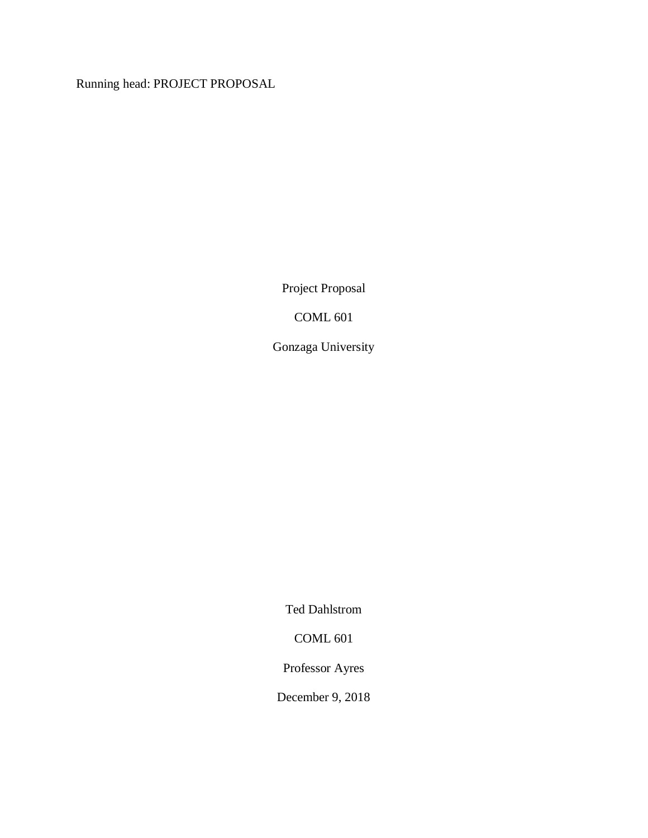Running head: PROJECT PROPOSAL

Project Proposal

COML 601

Gonzaga University

Ted Dahlstrom

COML 601

Professor Ayres

December 9, 2018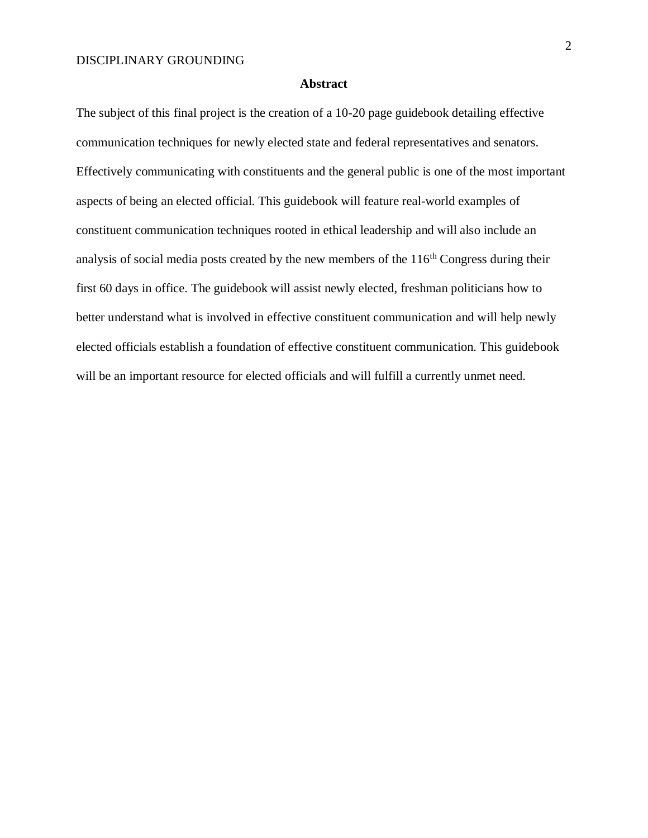#### **Abstract**

The subject of this final project is the creation of a 10-20 page guidebook detailing effective communication techniques for newly elected state and federal representatives and senators. Effectively communicating with constituents and the general public is one of the most important aspects of being an elected official. This guidebook will feature real-world examples of constituent communication techniques rooted in ethical leadership and will also include an analysis of social media posts created by the new members of the 116<sup>th</sup> Congress during their first 60 days in office. The guidebook will assist newly elected, freshman politicians how to better understand what is involved in effective constituent communication and will help newly elected officials establish a foundation of effective constituent communication. This guidebook will be an important resource for elected officials and will fulfill a currently unmet need.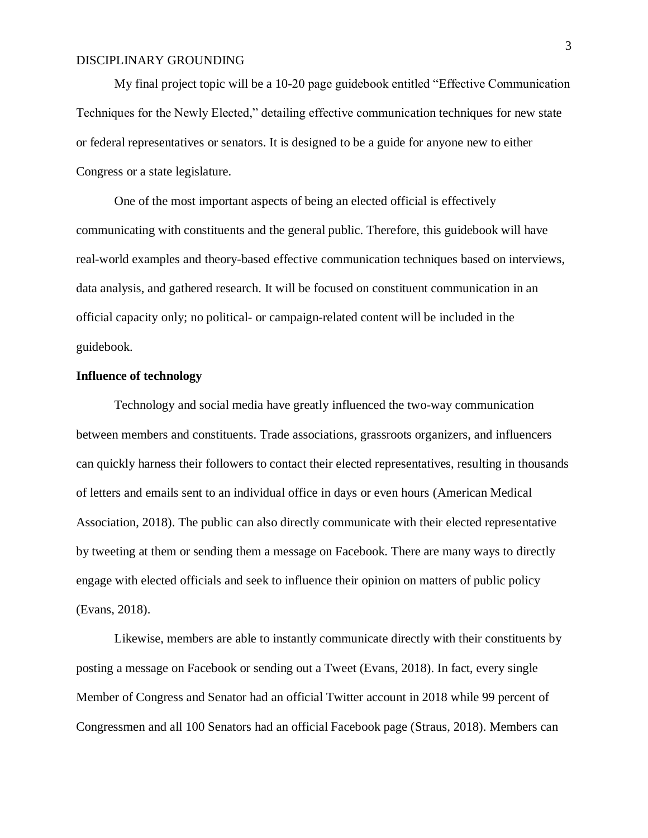My final project topic will be a 10-20 page guidebook entitled "Effective Communication Techniques for the Newly Elected," detailing effective communication techniques for new state or federal representatives or senators. It is designed to be a guide for anyone new to either Congress or a state legislature.

One of the most important aspects of being an elected official is effectively communicating with constituents and the general public. Therefore, this guidebook will have real-world examples and theory-based effective communication techniques based on interviews, data analysis, and gathered research. It will be focused on constituent communication in an official capacity only; no political- or campaign-related content will be included in the guidebook.

## **Influence of technology**

Technology and social media have greatly influenced the two-way communication between members and constituents. Trade associations, grassroots organizers, and influencers can quickly harness their followers to contact their elected representatives, resulting in thousands of letters and emails sent to an individual office in days or even hours (American Medical Association, 2018). The public can also directly communicate with their elected representative by tweeting at them or sending them a message on Facebook. There are many ways to directly engage with elected officials and seek to influence their opinion on matters of public policy (Evans, 2018).

Likewise, members are able to instantly communicate directly with their constituents by posting a message on Facebook or sending out a Tweet (Evans, 2018). In fact, every single Member of Congress and Senator had an official Twitter account in 2018 while 99 percent of Congressmen and all 100 Senators had an official Facebook page (Straus, 2018). Members can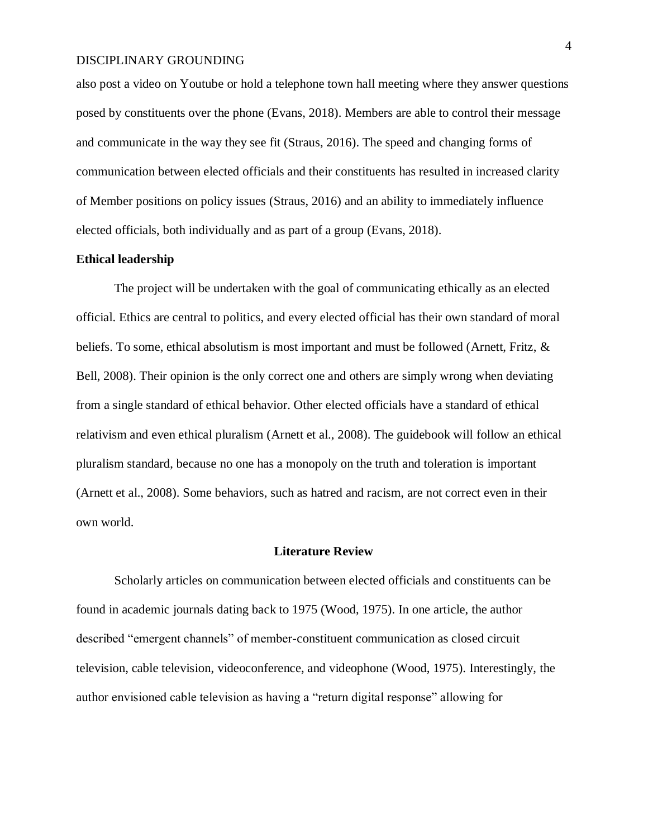also post a video on Youtube or hold a telephone town hall meeting where they answer questions posed by constituents over the phone (Evans, 2018). Members are able to control their message and communicate in the way they see fit (Straus, 2016). The speed and changing forms of communication between elected officials and their constituents has resulted in increased clarity of Member positions on policy issues (Straus, 2016) and an ability to immediately influence elected officials, both individually and as part of a group (Evans, 2018).

#### **Ethical leadership**

The project will be undertaken with the goal of communicating ethically as an elected official. Ethics are central to politics, and every elected official has their own standard of moral beliefs. To some, ethical absolutism is most important and must be followed (Arnett, Fritz, & Bell, 2008). Their opinion is the only correct one and others are simply wrong when deviating from a single standard of ethical behavior. Other elected officials have a standard of ethical relativism and even ethical pluralism (Arnett et al., 2008). The guidebook will follow an ethical pluralism standard, because no one has a monopoly on the truth and toleration is important (Arnett et al., 2008). Some behaviors, such as hatred and racism, are not correct even in their own world.

#### **Literature Review**

Scholarly articles on communication between elected officials and constituents can be found in academic journals dating back to 1975 (Wood, 1975). In one article, the author described "emergent channels" of member-constituent communication as closed circuit television, cable television, videoconference, and videophone (Wood, 1975). Interestingly, the author envisioned cable television as having a "return digital response" allowing for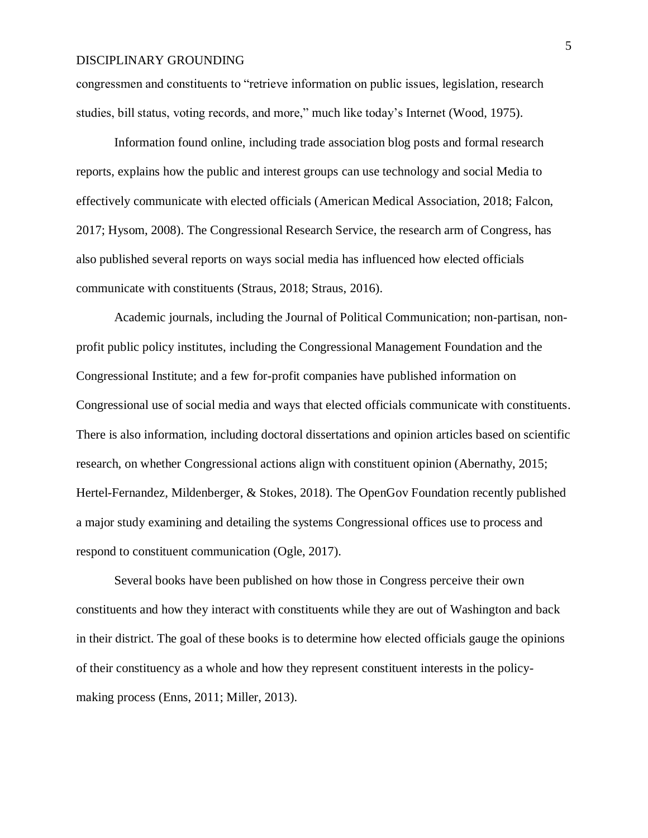congressmen and constituents to "retrieve information on public issues, legislation, research studies, bill status, voting records, and more," much like today's Internet (Wood, 1975).

Information found online, including trade association blog posts and formal research reports, explains how the public and interest groups can use technology and social Media to effectively communicate with elected officials (American Medical Association, 2018; Falcon, 2017; Hysom, 2008). The Congressional Research Service, the research arm of Congress, has also published several reports on ways social media has influenced how elected officials communicate with constituents (Straus, 2018; Straus, 2016).

Academic journals, including the Journal of Political Communication; non-partisan, nonprofit public policy institutes, including the Congressional Management Foundation and the Congressional Institute; and a few for-profit companies have published information on Congressional use of social media and ways that elected officials communicate with constituents. There is also information, including doctoral dissertations and opinion articles based on scientific research, on whether Congressional actions align with constituent opinion (Abernathy, 2015; Hertel-Fernandez, Mildenberger, & Stokes, 2018). The OpenGov Foundation recently published a major study examining and detailing the systems Congressional offices use to process and respond to constituent communication (Ogle, 2017).

Several books have been published on how those in Congress perceive their own constituents and how they interact with constituents while they are out of Washington and back in their district. The goal of these books is to determine how elected officials gauge the opinions of their constituency as a whole and how they represent constituent interests in the policymaking process (Enns, 2011; Miller, 2013).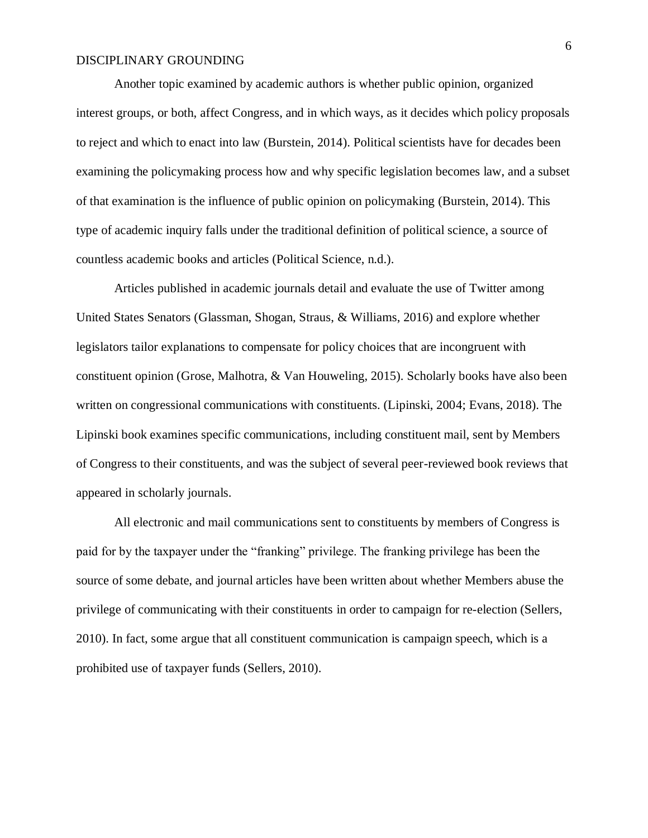Another topic examined by academic authors is whether public opinion, organized interest groups, or both, affect Congress, and in which ways, as it decides which policy proposals to reject and which to enact into law (Burstein, 2014). Political scientists have for decades been examining the policymaking process how and why specific legislation becomes law, and a subset of that examination is the influence of public opinion on policymaking (Burstein, 2014). This type of academic inquiry falls under the traditional definition of political science, a source of countless academic books and articles (Political Science, n.d.).

Articles published in academic journals detail and evaluate the use of Twitter among United States Senators (Glassman, Shogan, Straus, & Williams, 2016) and explore whether legislators tailor explanations to compensate for policy choices that are incongruent with constituent opinion (Grose, Malhotra, & Van Houweling, 2015). Scholarly books have also been written on congressional communications with constituents. (Lipinski, 2004; Evans, 2018). The Lipinski book examines specific communications, including constituent mail, sent by Members of Congress to their constituents, and was the subject of several peer-reviewed book reviews that appeared in scholarly journals.

All electronic and mail communications sent to constituents by members of Congress is paid for by the taxpayer under the "franking" privilege. The franking privilege has been the source of some debate, and journal articles have been written about whether Members abuse the privilege of communicating with their constituents in order to campaign for re-election (Sellers, 2010). In fact, some argue that all constituent communication is campaign speech, which is a prohibited use of taxpayer funds (Sellers, 2010).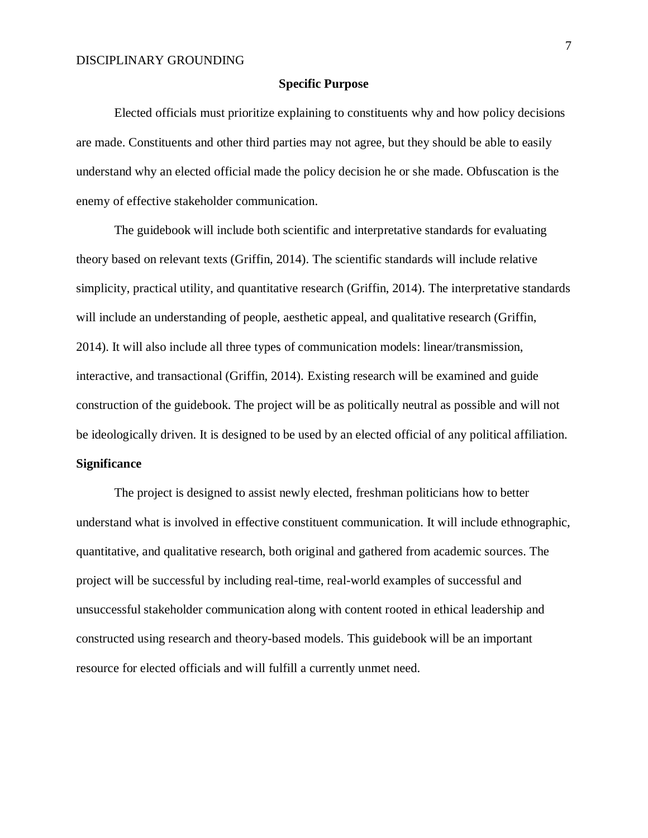#### **Specific Purpose**

Elected officials must prioritize explaining to constituents why and how policy decisions are made. Constituents and other third parties may not agree, but they should be able to easily understand why an elected official made the policy decision he or she made. Obfuscation is the enemy of effective stakeholder communication.

The guidebook will include both scientific and interpretative standards for evaluating theory based on relevant texts (Griffin, 2014). The scientific standards will include relative simplicity, practical utility, and quantitative research (Griffin, 2014). The interpretative standards will include an understanding of people, aesthetic appeal, and qualitative research (Griffin, 2014). It will also include all three types of communication models: linear/transmission, interactive, and transactional (Griffin, 2014). Existing research will be examined and guide construction of the guidebook. The project will be as politically neutral as possible and will not be ideologically driven. It is designed to be used by an elected official of any political affiliation. **Significance**

The project is designed to assist newly elected, freshman politicians how to better understand what is involved in effective constituent communication. It will include ethnographic, quantitative, and qualitative research, both original and gathered from academic sources. The project will be successful by including real-time, real-world examples of successful and unsuccessful stakeholder communication along with content rooted in ethical leadership and constructed using research and theory-based models. This guidebook will be an important resource for elected officials and will fulfill a currently unmet need.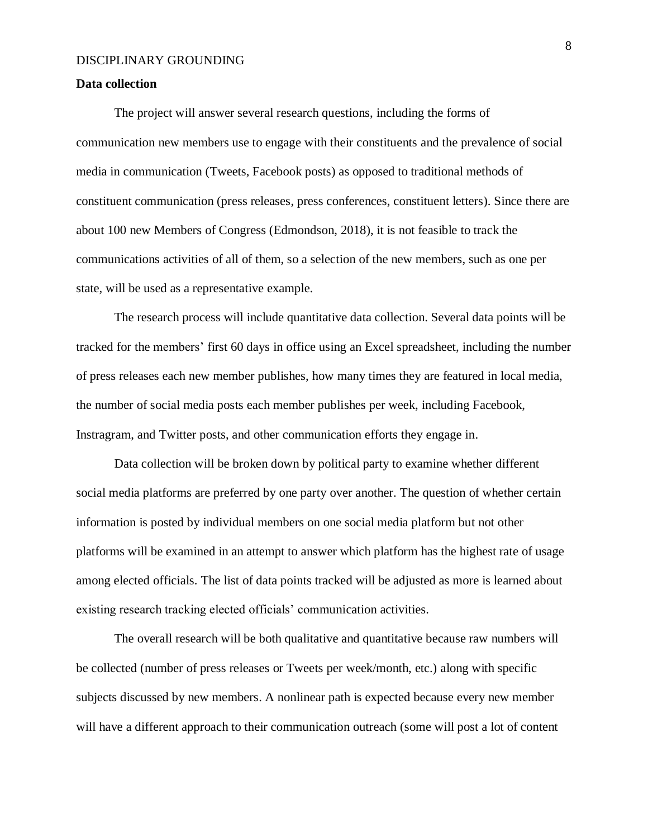#### **Data collection**

The project will answer several research questions, including the forms of communication new members use to engage with their constituents and the prevalence of social media in communication (Tweets, Facebook posts) as opposed to traditional methods of constituent communication (press releases, press conferences, constituent letters). Since there are about 100 new Members of Congress (Edmondson, 2018), it is not feasible to track the communications activities of all of them, so a selection of the new members, such as one per state, will be used as a representative example.

The research process will include quantitative data collection. Several data points will be tracked for the members' first 60 days in office using an Excel spreadsheet, including the number of press releases each new member publishes, how many times they are featured in local media, the number of social media posts each member publishes per week, including Facebook, Instragram, and Twitter posts, and other communication efforts they engage in.

Data collection will be broken down by political party to examine whether different social media platforms are preferred by one party over another. The question of whether certain information is posted by individual members on one social media platform but not other platforms will be examined in an attempt to answer which platform has the highest rate of usage among elected officials. The list of data points tracked will be adjusted as more is learned about existing research tracking elected officials' communication activities.

The overall research will be both qualitative and quantitative because raw numbers will be collected (number of press releases or Tweets per week/month, etc.) along with specific subjects discussed by new members. A nonlinear path is expected because every new member will have a different approach to their communication outreach (some will post a lot of content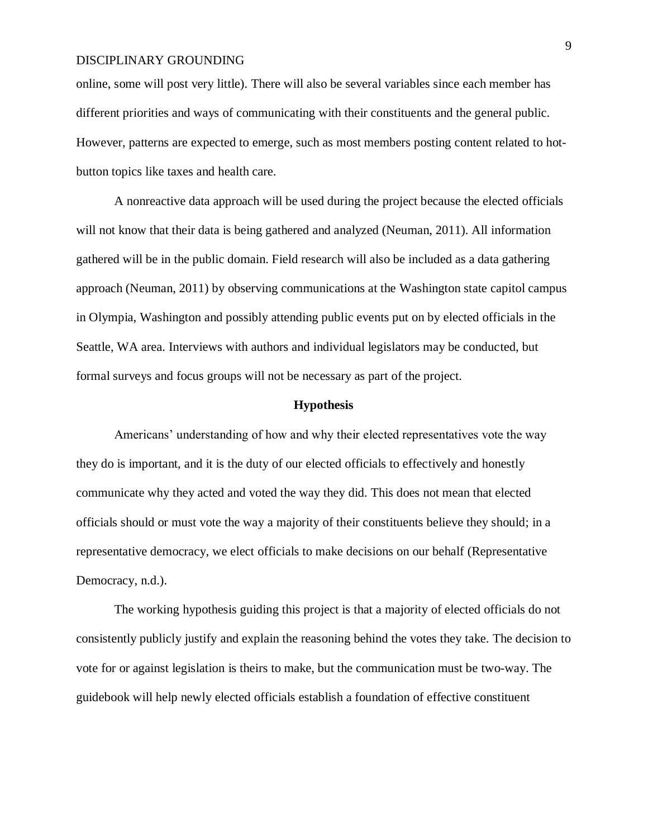online, some will post very little). There will also be several variables since each member has different priorities and ways of communicating with their constituents and the general public. However, patterns are expected to emerge, such as most members posting content related to hotbutton topics like taxes and health care.

A nonreactive data approach will be used during the project because the elected officials will not know that their data is being gathered and analyzed (Neuman, 2011). All information gathered will be in the public domain. Field research will also be included as a data gathering approach (Neuman, 2011) by observing communications at the Washington state capitol campus in Olympia, Washington and possibly attending public events put on by elected officials in the Seattle, WA area. Interviews with authors and individual legislators may be conducted, but formal surveys and focus groups will not be necessary as part of the project.

## **Hypothesis**

Americans' understanding of how and why their elected representatives vote the way they do is important, and it is the duty of our elected officials to effectively and honestly communicate why they acted and voted the way they did. This does not mean that elected officials should or must vote the way a majority of their constituents believe they should; in a representative democracy, we elect officials to make decisions on our behalf (Representative Democracy, n.d.).

The working hypothesis guiding this project is that a majority of elected officials do not consistently publicly justify and explain the reasoning behind the votes they take. The decision to vote for or against legislation is theirs to make, but the communication must be two-way. The guidebook will help newly elected officials establish a foundation of effective constituent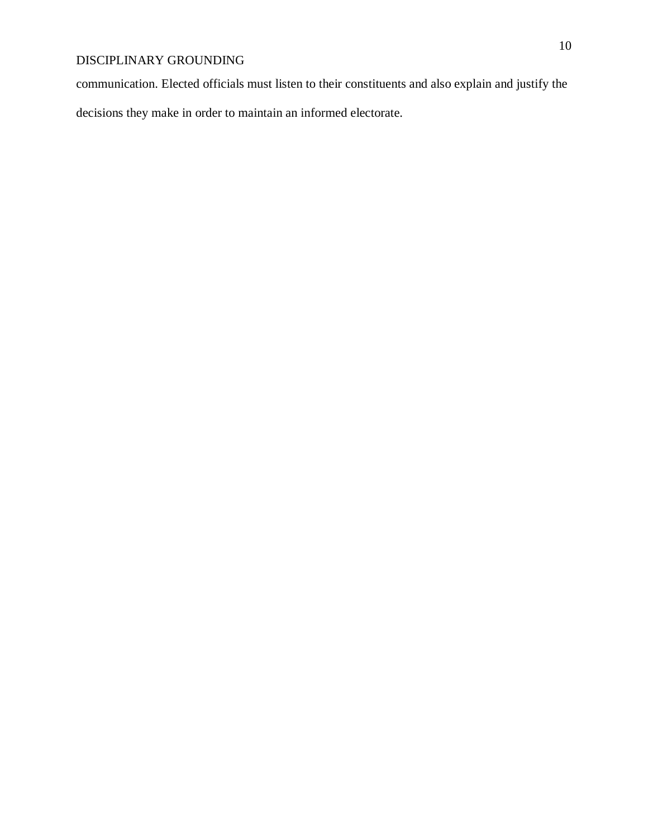communication. Elected officials must listen to their constituents and also explain and justify the

decisions they make in order to maintain an informed electorate.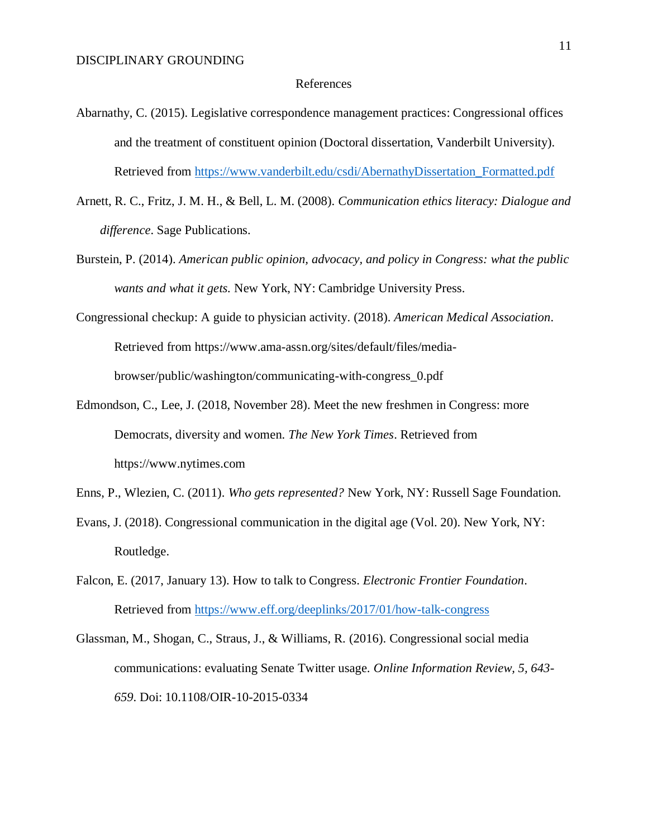#### References

- Abarnathy, C. (2015). Legislative correspondence management practices: Congressional offices and the treatment of constituent opinion (Doctoral dissertation, Vanderbilt University). Retrieved from [https://www.vanderbilt.edu/csdi/AbernathyDissertation\\_Formatted.pdf](https://www.vanderbilt.edu/csdi/AbernathyDissertation_Formatted.pdf)
- Arnett, R. C., Fritz, J. M. H., & Bell, L. M. (2008). *Communication ethics literacy: Dialogue and difference*. Sage Publications.
- Burstein, P. (2014). *American public opinion, advocacy, and policy in Congress: what the public wants and what it gets.* New York, NY: Cambridge University Press.
- Congressional checkup: A guide to physician activity. (2018). *American Medical Association*. Retrieved from https://www.ama-assn.org/sites/default/files/mediabrowser/public/washington/communicating-with-congress\_0.pdf
- Edmondson, C., Lee, J. (2018, November 28). Meet the new freshmen in Congress: more Democrats, diversity and women. *The New York Times*. Retrieved from https://www.nytimes.com
- Enns, P., Wlezien, C. (2011). *Who gets represented?* New York, NY: Russell Sage Foundation.
- Evans, J. (2018). Congressional communication in the digital age (Vol. 20). New York, NY: Routledge.
- Falcon, E. (2017, January 13). How to talk to Congress. *Electronic Frontier Foundation*. Retrieved from<https://www.eff.org/deeplinks/2017/01/how-talk-congress>
- Glassman, M., Shogan, C., Straus, J., & Williams, R. (2016). Congressional social media communications: evaluating Senate Twitter usage. *Online Information Review, 5, 643- 659*. Doi: 10.1108/OIR-10-2015-0334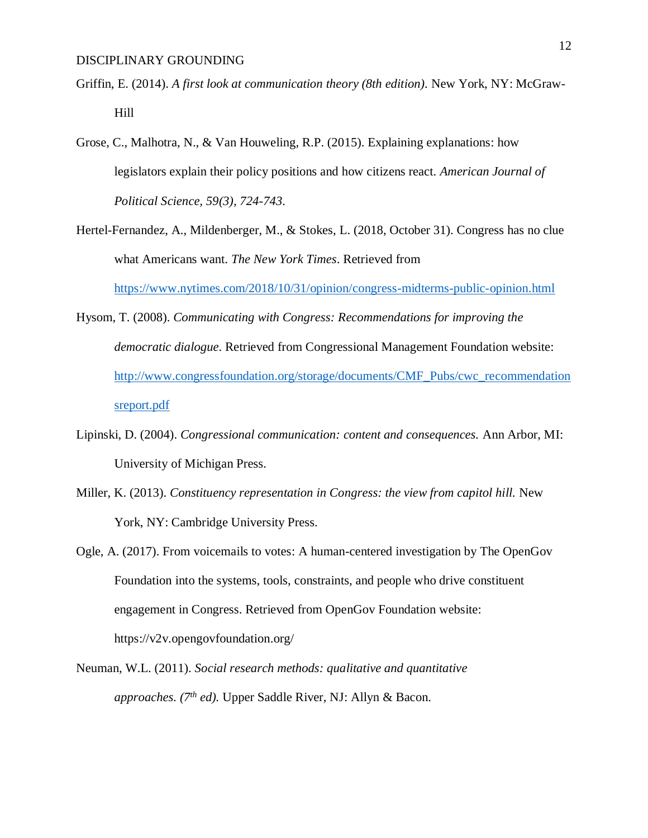- Griffin, E. (2014). *A first look at communication theory (8th edition).* New York, NY: McGraw-Hill
- Grose, C., Malhotra, N., & Van Houweling, R.P. (2015). Explaining explanations: how legislators explain their policy positions and how citizens react. *American Journal of Political Science, 59(3), 724-743*.
- Hertel-Fernandez, A., Mildenberger, M., & Stokes, L. (2018, October 31). Congress has no clue what Americans want. *The New York Times*. Retrieved from <https://www.nytimes.com/2018/10/31/opinion/congress-midterms-public-opinion.html>
- Hysom, T. (2008). *Communicating with Congress: Recommendations for improving the democratic dialogue*. Retrieved from Congressional Management Foundation website: [http://www.congressfoundation.org/storage/documents/CMF\\_Pubs/cwc\\_recommendation](http://www.congressfoundation.org/storage/documents/CMF_Pubs/cwc_recommendationsreport.pdf) [sreport.pdf](http://www.congressfoundation.org/storage/documents/CMF_Pubs/cwc_recommendationsreport.pdf)
- Lipinski, D. (2004). *Congressional communication: content and consequences.* Ann Arbor, MI: University of Michigan Press.
- Miller, K. (2013). *Constituency representation in Congress: the view from capitol hill.* New York, NY: Cambridge University Press.
- Ogle, A. (2017). From voicemails to votes: A human-centered investigation by The OpenGov Foundation into the systems, tools, constraints, and people who drive constituent engagement in Congress. Retrieved from OpenGov Foundation website: https://v2v.opengovfoundation.org/
- Neuman, W.L. (2011). *Social research methods: qualitative and quantitative approaches. (7th ed).* Upper Saddle River, NJ: Allyn & Bacon.